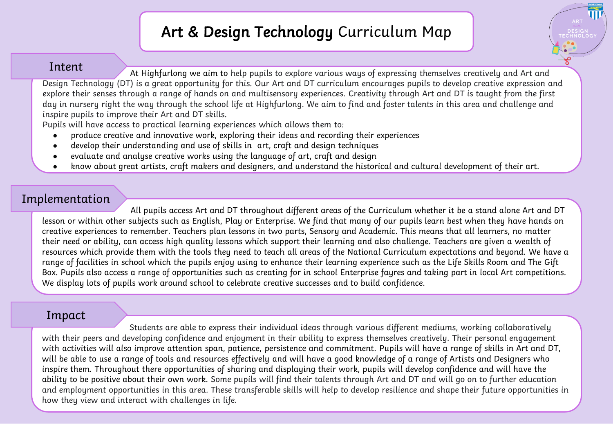## Art & Design Technology Curriculum Map

**HIGHFURLON** 

ECHNOLOG

## Intent

At Highfurlong we aim to help pupils to explore various ways of expressing themselves creatively and Art and Design Technology (DT) is a great opportunity for this. Our Art and DT curriculum encourages pupils to develop creative expression and explore their senses through a range of hands on and multisensory experiences. Creativity through Art and DT is taught from the first day in nursery right the way through the school life at Highfurlong. We aim to find and foster talents in this area and challenge and inspire pupils to improve their Art and DT skills.

Pupils will have access to practical learning experiences which allows them to:

- produce creative and innovative work, exploring their ideas and recording their experiences
- develop their understanding and use of skills in art, craft and design techniques
- evaluate and analyse creative works using the language of art, craft and design
- know about great artists, craft makers and designers, and understand the historical and cultural development of their art.

## Implementation

All pupils access Art and DT throughout different areas of the Curriculum whether it be a stand alone Art and DT lesson or within other subjects such as English, Play or Enterprise. We find that many of our pupils learn best when they have hands on creative experiences to remember. Teachers plan lessons in two parts, Sensory and Academic. This means that all learners, no matter their need or ability, can access high quality lessons which support their learning and also challenge. Teachers are given a wealth of resources which provide them with the tools they need to teach all areas of the National Curriculum expectations and beyond. We have a range of facilities in school which the pupils enjoy using to enhance their learning experience such as the Life Skills Room and The Gift Box. Pupils also access a range of opportunities such as creating for in school Enterprise fayres and taking part in local Art competitions. We display lots of pupils work around school to celebrate creative successes and to build confidence.

## Impact

Students are able to express their individual ideas through various different mediums, working collaboratively with their peers and developing confidence and enjoyment in their ability to express themselves creatively. Their personal engagement with activities will also improve attention span, patience, persistence and commitment. Pupils will have a range of skills in Art and DT, will be able to use a range of tools and resources effectively and will have a good knowledge of a range of Artists and Designers who inspire them. Throughout there opportunities of sharing and displaying their work, pupils will develop confidence and will have the ability to be positive about their own work. Some pupils will find their talents through Art and DT and will go on to further education and employment opportunities in this area. These transferable skills will help to develop resilience and shape their future opportunities in how they view and interact with challenges in life.